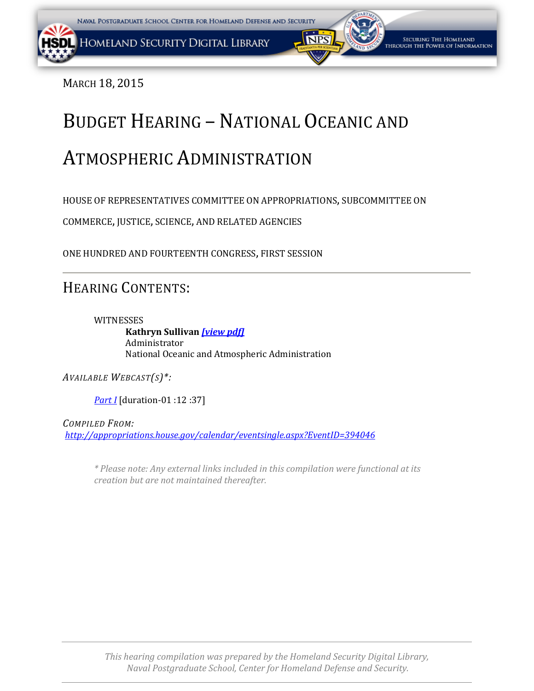<span id="page-0-0"></span>MARCH 18, 2015

# BUDGET HEARING – NATIONAL OCEANIC AND

# ATMOSPHERIC ADMINISTRATION

HOUSE OF REPRESENTATIVES COMMITTEE ON APPROPRIATIONS, SUBCOMMITTEE ON

COMMERCE, JUSTICE, SCIENCE, AND RELATED AGENCIES

ONE HUNDRED AND FOURTEENTH CONGRESS, FIRST SESSION

# HEARING CONTENTS:

WITNESSES **Kathryn Sullivan** *[\[view pdf](#page-1-0)[\]](#page-0-0)* Administrator National Oceanic and Atmospheric Administration

*AVAILABLE WEBCAST(S)\*:*

*[Part I](https://www.youtube.com/watch?v=XS5J5D5Fx7E)* [duration-01 :12 :37]

*COMPILED FROM: <http://appropriations.house.gov/calendar/eventsingle.aspx?EventID=394046>*

*\* Please note: Any external links included in this compilation were functional at its creation but are not maintained thereafter.*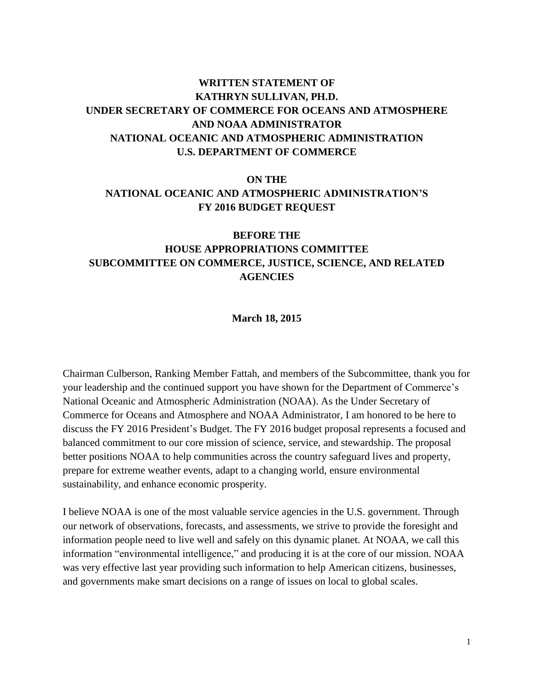# <span id="page-1-0"></span>**WRITTEN STATEMENT OF KATHRYN SULLIVAN, PH.D. UNDER SECRETARY OF COMMERCE FOR OCEANS AND ATMOSPHERE AND NOAA ADMINISTRATOR NATIONAL OCEANIC AND ATMOSPHERIC ADMINISTRATION U.S. DEPARTMENT OF COMMERCE**

# **ON THE NATIONAL OCEANIC AND ATMOSPHERIC ADMINISTRATION'S FY 2016 BUDGET REQUEST**

# **BEFORE THE HOUSE APPROPRIATIONS COMMITTEE SUBCOMMITTEE ON COMMERCE, JUSTICE, SCIENCE, AND RELATED AGENCIES**

#### **March 18, 2015**

Chairman Culberson, Ranking Member Fattah, and members of the Subcommittee, thank you for your leadership and the continued support you have shown for the Department of Commerce's National Oceanic and Atmospheric Administration (NOAA). As the Under Secretary of Commerce for Oceans and Atmosphere and NOAA Administrator, I am honored to be here to discuss the FY 2016 President's Budget. The FY 2016 budget proposal represents a focused and balanced commitment to our core mission of science, service, and stewardship. The proposal better positions NOAA to help communities across the country safeguard lives and property, prepare for extreme weather events, adapt to a changing world, ensure environmental sustainability, and enhance economic prosperity.

I believe NOAA is one of the most valuable service agencies in the U.S. government. Through our network of observations, forecasts, and assessments, we strive to provide the foresight and information people need to live well and safely on this dynamic planet. At NOAA, we call this information "environmental intelligence," and producing it is at the core of our mission. NOAA was very effective last year providing such information to help American citizens, businesses, and governments make smart decisions on a range of issues on local to global scales.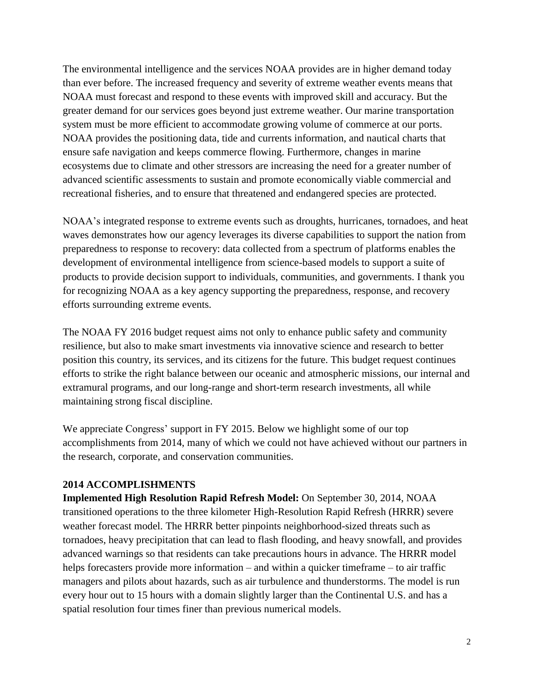The environmental intelligence and the services NOAA provides are in higher demand today than ever before. The increased frequency and severity of extreme weather events means that NOAA must forecast and respond to these events with improved skill and accuracy. But the greater demand for our services goes beyond just extreme weather. Our marine transportation system must be more efficient to accommodate growing volume of commerce at our ports. NOAA provides the positioning data, tide and currents information, and nautical charts that ensure safe navigation and keeps commerce flowing. Furthermore, changes in marine ecosystems due to climate and other stressors are increasing the need for a greater number of advanced scientific assessments to sustain and promote economically viable commercial and recreational fisheries, and to ensure that threatened and endangered species are protected.

NOAA's integrated response to extreme events such as droughts, hurricanes, tornadoes, and heat waves demonstrates how our agency leverages its diverse capabilities to support the nation from preparedness to response to recovery: data collected from a spectrum of platforms enables the development of environmental intelligence from science-based models to support a suite of products to provide decision support to individuals, communities, and governments. I thank you for recognizing NOAA as a key agency supporting the preparedness, response, and recovery efforts surrounding extreme events.

The NOAA FY 2016 budget request aims not only to enhance public safety and community resilience, but also to make smart investments via innovative science and research to better position this country, its services, and its citizens for the future. This budget request continues efforts to strike the right balance between our oceanic and atmospheric missions, our internal and extramural programs, and our long-range and short-term research investments, all while maintaining strong fiscal discipline.

We appreciate Congress' support in FY 2015. Below we highlight some of our top accomplishments from 2014, many of which we could not have achieved without our partners in the research, corporate, and conservation communities.

#### **2014 ACCOMPLISHMENTS**

**Implemented High Resolution Rapid Refresh Model:** On September 30, 2014, NOAA transitioned operations to the three kilometer High-Resolution Rapid Refresh (HRRR) severe weather forecast model. The HRRR better pinpoints neighborhood-sized threats such as tornadoes, heavy precipitation that can lead to flash flooding, and heavy snowfall, and provides advanced warnings so that residents can take precautions hours in advance. The HRRR model helps forecasters provide more information – and within a quicker timeframe – to air traffic managers and pilots about hazards, such as air turbulence and thunderstorms. The model is run every hour out to 15 hours with a domain slightly larger than the Continental U.S. and has a spatial resolution four times finer than previous numerical models.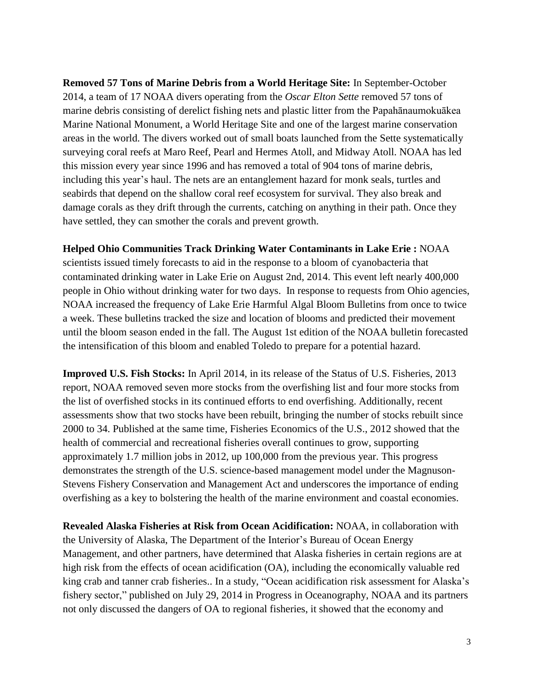**Removed 57 Tons of Marine Debris from a World Heritage Site:** In September-October 2014, a team of 17 NOAA divers operating from the *Oscar Elton Sette* removed 57 tons of marine debris consisting of derelict fishing nets and plastic litter from the Papahānaumokuākea Marine National Monument, a World Heritage Site and one of the largest marine conservation areas in the world. The divers worked out of small boats launched from the Sette systematically surveying coral reefs at Maro Reef, Pearl and Hermes Atoll, and Midway Atoll. NOAA has led this mission every year since 1996 and has removed a total of 904 tons of marine debris, including this year's haul. The nets are an entanglement hazard for monk seals, turtles and seabirds that depend on the shallow coral reef ecosystem for survival. They also break and damage corals as they drift through the currents, catching on anything in their path. Once they have settled, they can smother the corals and prevent growth.

**Helped Ohio Communities Track Drinking Water Contaminants in Lake Erie :** NOAA

scientists issued timely forecasts to aid in the response to a bloom of cyanobacteria that contaminated drinking water in Lake Erie on August 2nd, 2014. This event left nearly 400,000 people in Ohio without drinking water for two days. In response to requests from Ohio agencies, NOAA increased the frequency of Lake Erie Harmful Algal Bloom Bulletins from once to twice a week. These bulletins tracked the size and location of blooms and predicted their movement until the bloom season ended in the fall. The August 1st edition of the NOAA bulletin forecasted the intensification of this bloom and enabled Toledo to prepare for a potential hazard.

**Improved U.S. Fish Stocks:** In April 2014, in its release of the Status of U.S. Fisheries, 2013 report, NOAA removed seven more stocks from the overfishing list and four more stocks from the list of overfished stocks in its continued efforts to end overfishing. Additionally, recent assessments show that two stocks have been rebuilt, bringing the number of stocks rebuilt since 2000 to 34. Published at the same time, Fisheries Economics of the U.S., 2012 showed that the health of commercial and recreational fisheries overall continues to grow, supporting approximately 1.7 million jobs in 2012, up 100,000 from the previous year. This progress demonstrates the strength of the U.S. science-based management model under the Magnuson-Stevens Fishery Conservation and Management Act and underscores the importance of ending overfishing as a key to bolstering the health of the marine environment and coastal economies.

**Revealed Alaska Fisheries at Risk from Ocean Acidification:** NOAA, in collaboration with the University of Alaska, The Department of the Interior's Bureau of Ocean Energy Management, and other partners, have determined that Alaska fisheries in certain regions are at high risk from the effects of ocean acidification (OA), including the economically valuable red king crab and tanner crab fisheries.. In a study, "Ocean acidification risk assessment for Alaska's fishery sector," published on July 29, 2014 in Progress in Oceanography, NOAA and its partners not only discussed the dangers of OA to regional fisheries, it showed that the economy and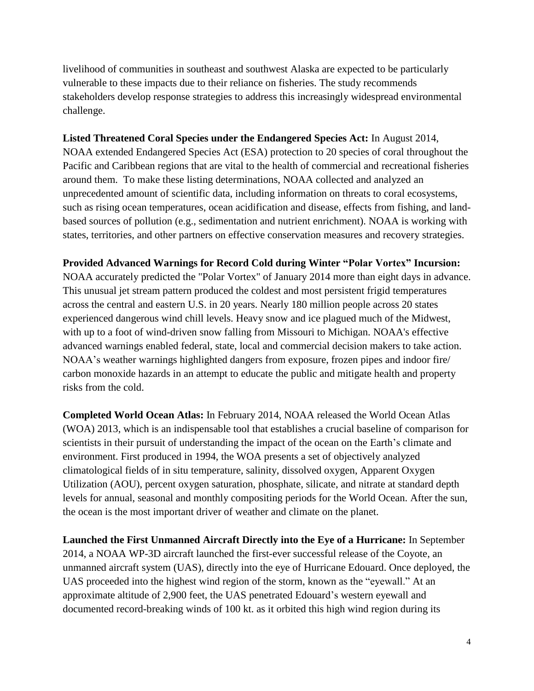livelihood of communities in southeast and southwest Alaska are expected to be particularly vulnerable to these impacts due to their reliance on fisheries. The study recommends stakeholders develop response strategies to address this increasingly widespread environmental challenge.

### **Listed Threatened Coral Species under the Endangered Species Act:** In August 2014,

NOAA extended Endangered Species Act (ESA) protection to 20 species of coral throughout the Pacific and Caribbean regions that are vital to the health of commercial and recreational fisheries around them. To make these listing determinations, NOAA collected and analyzed an unprecedented amount of scientific data, including information on threats to coral ecosystems, such as rising ocean temperatures, ocean acidification and disease, effects from fishing, and landbased sources of pollution (e.g., sedimentation and nutrient enrichment). NOAA is working with states, territories, and other partners on effective conservation measures and recovery strategies.

#### **Provided Advanced Warnings for Record Cold during Winter "Polar Vortex" Incursion:**

NOAA accurately predicted the "Polar Vortex" of January 2014 more than eight days in advance. This unusual jet stream pattern produced the coldest and most persistent frigid temperatures across the central and eastern U.S. in 20 years. Nearly 180 million people across 20 states experienced dangerous wind chill levels. Heavy snow and ice plagued much of the Midwest, with up to a foot of wind-driven snow falling from Missouri to Michigan. NOAA's effective advanced warnings enabled federal, state, local and commercial decision makers to take action. NOAA's weather warnings highlighted dangers from exposure, frozen pipes and indoor fire/ carbon monoxide hazards in an attempt to educate the public and mitigate health and property risks from the cold.

**Completed World Ocean Atlas:** In February 2014, NOAA released the World Ocean Atlas (WOA) 2013, which is an indispensable tool that establishes a crucial baseline of comparison for scientists in their pursuit of understanding the impact of the ocean on the Earth's climate and environment. First produced in 1994, the WOA presents a set of objectively analyzed climatological fields of in situ temperature, salinity, dissolved oxygen, Apparent Oxygen Utilization (AOU), percent oxygen saturation, phosphate, silicate, and nitrate at standard depth levels for annual, seasonal and monthly compositing periods for the World Ocean. After the sun, the ocean is the most important driver of weather and climate on the planet.

**Launched the First Unmanned Aircraft Directly into the Eye of a Hurricane:** In September 2014, a NOAA WP-3D aircraft launched the first-ever successful release of the Coyote, an unmanned aircraft system (UAS), directly into the eye of Hurricane Edouard. Once deployed, the UAS proceeded into the highest wind region of the storm, known as the "eyewall." At an approximate altitude of 2,900 feet, the UAS penetrated Edouard's western eyewall and documented record-breaking winds of 100 kt. as it orbited this high wind region during its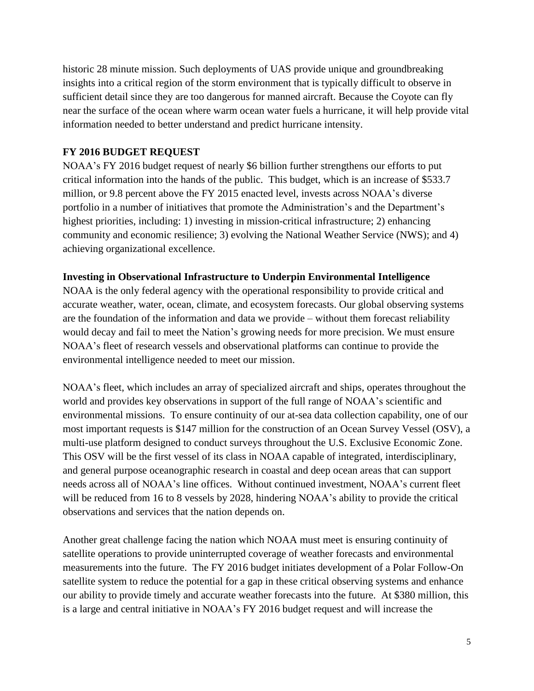historic 28 minute mission. Such deployments of UAS provide unique and groundbreaking insights into a critical region of the storm environment that is typically difficult to observe in sufficient detail since they are too dangerous for manned aircraft. Because the Coyote can fly near the surface of the ocean where warm ocean water fuels a hurricane, it will help provide vital information needed to better understand and predict hurricane intensity.

### **FY 2016 BUDGET REQUEST**

NOAA's FY 2016 budget request of nearly \$6 billion further strengthens our efforts to put critical information into the hands of the public. This budget, which is an increase of \$533.7 million, or 9.8 percent above the FY 2015 enacted level, invests across NOAA's diverse portfolio in a number of initiatives that promote the Administration's and the Department's highest priorities, including: 1) investing in mission-critical infrastructure; 2) enhancing community and economic resilience; 3) evolving the National Weather Service (NWS); and 4) achieving organizational excellence.

#### **Investing in Observational Infrastructure to Underpin Environmental Intelligence**

NOAA is the only federal agency with the operational responsibility to provide critical and accurate weather, water, ocean, climate, and ecosystem forecasts. Our global observing systems are the foundation of the information and data we provide – without them forecast reliability would decay and fail to meet the Nation's growing needs for more precision. We must ensure NOAA's fleet of research vessels and observational platforms can continue to provide the environmental intelligence needed to meet our mission.

NOAA's fleet, which includes an array of specialized aircraft and ships, operates throughout the world and provides key observations in support of the full range of NOAA's scientific and environmental missions. To ensure continuity of our at-sea data collection capability, one of our most important requests is \$147 million for the construction of an Ocean Survey Vessel (OSV), a multi-use platform designed to conduct surveys throughout the U.S. Exclusive Economic Zone. This OSV will be the first vessel of its class in NOAA capable of integrated, interdisciplinary, and general purpose oceanographic research in coastal and deep ocean areas that can support needs across all of NOAA's line offices. Without continued investment, NOAA's current fleet will be reduced from 16 to 8 vessels by 2028, hindering NOAA's ability to provide the critical observations and services that the nation depends on.

Another great challenge facing the nation which NOAA must meet is ensuring continuity of satellite operations to provide uninterrupted coverage of weather forecasts and environmental measurements into the future. The FY 2016 budget initiates development of a Polar Follow-On satellite system to reduce the potential for a gap in these critical observing systems and enhance our ability to provide timely and accurate weather forecasts into the future. At \$380 million, this is a large and central initiative in NOAA's FY 2016 budget request and will increase the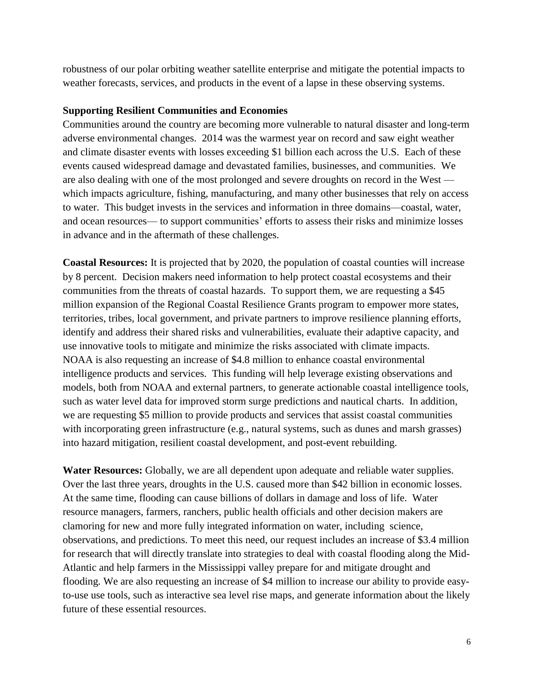robustness of our polar orbiting weather satellite enterprise and mitigate the potential impacts to weather forecasts, services, and products in the event of a lapse in these observing systems.

#### **Supporting Resilient Communities and Economies**

Communities around the country are becoming more vulnerable to natural disaster and long-term adverse environmental changes. 2014 was the warmest year on record and saw eight weather and climate disaster events with losses exceeding \$1 billion each across the U.S. Each of these events caused widespread damage and devastated families, businesses, and communities. We are also dealing with one of the most prolonged and severe droughts on record in the West which impacts agriculture, fishing, manufacturing, and many other businesses that rely on access to water. This budget invests in the services and information in three domains—coastal, water, and ocean resources— to support communities' efforts to assess their risks and minimize losses in advance and in the aftermath of these challenges.

**Coastal Resources:** It is projected that by 2020, the population of coastal counties will increase by 8 percent. Decision makers need information to help protect coastal ecosystems and their communities from the threats of coastal hazards. To support them, we are requesting a \$45 million expansion of the Regional Coastal Resilience Grants program to empower more states, territories, tribes, local government, and private partners to improve resilience planning efforts, identify and address their shared risks and vulnerabilities, evaluate their adaptive capacity, and use innovative tools to mitigate and minimize the risks associated with climate impacts. NOAA is also requesting an increase of \$4.8 million to enhance coastal environmental intelligence products and services. This funding will help leverage existing observations and models, both from NOAA and external partners, to generate actionable coastal intelligence tools, such as water level data for improved storm surge predictions and nautical charts. In addition, we are requesting \$5 million to provide products and services that assist coastal communities with incorporating green infrastructure (e.g., natural systems, such as dunes and marsh grasses) into hazard mitigation, resilient coastal development, and post-event rebuilding.

**Water Resources:** Globally, we are all dependent upon adequate and reliable water supplies. Over the last three years, droughts in the U.S. caused more than \$42 billion in economic losses. At the same time, flooding can cause billions of dollars in damage and loss of life. Water resource managers, farmers, ranchers, public health officials and other decision makers are clamoring for new and more fully integrated information on water, including science, observations, and predictions. To meet this need, our request includes an increase of \$3.4 million for research that will directly translate into strategies to deal with coastal flooding along the Mid-Atlantic and help farmers in the Mississippi valley prepare for and mitigate drought and flooding. We are also requesting an increase of \$4 million to increase our ability to provide easyto-use use tools, such as interactive sea level rise maps, and generate information about the likely future of these essential resources.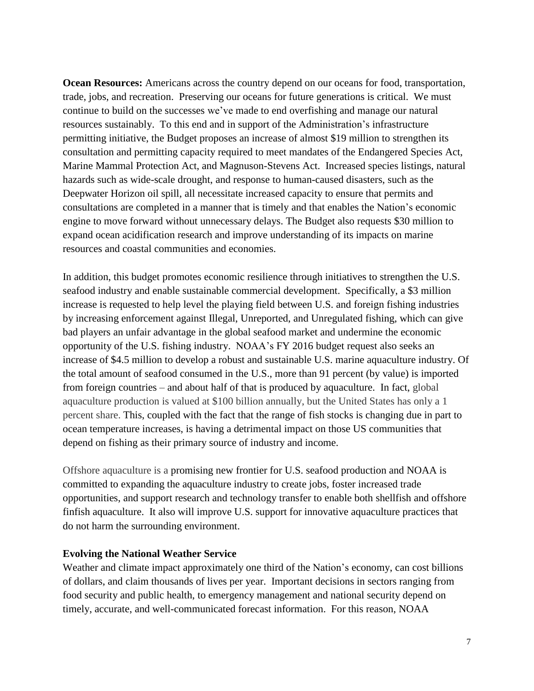**Ocean Resources:** Americans across the country depend on our oceans for food, transportation, trade, jobs, and recreation. Preserving our oceans for future generations is critical. We must continue to build on the successes we've made to end overfishing and manage our natural resources sustainably. To this end and in support of the Administration's infrastructure permitting initiative, the Budget proposes an increase of almost \$19 million to strengthen its consultation and permitting capacity required to meet mandates of the Endangered Species Act, Marine Mammal Protection Act, and Magnuson-Stevens Act. Increased species listings, natural hazards such as wide-scale drought, and response to human-caused disasters, such as the Deepwater Horizon oil spill, all necessitate increased capacity to ensure that permits and consultations are completed in a manner that is timely and that enables the Nation's economic engine to move forward without unnecessary delays. The Budget also requests \$30 million to expand ocean acidification research and improve understanding of its impacts on marine resources and coastal communities and economies.

In addition, this budget promotes economic resilience through initiatives to strengthen the U.S. seafood industry and enable sustainable commercial development. Specifically, a \$3 million increase is requested to help level the playing field between U.S. and foreign fishing industries by increasing enforcement against Illegal, Unreported, and Unregulated fishing, which can give bad players an unfair advantage in the global seafood market and undermine the economic opportunity of the U.S. fishing industry. NOAA's FY 2016 budget request also seeks an increase of \$4.5 million to develop a robust and sustainable U.S. marine aquaculture industry. Of the total amount of seafood consumed in the U.S., more than 91 percent (by value) is imported from foreign countries – and about half of that is produced by aquaculture. In fact, global aquaculture production is valued at \$100 billion annually, but the United States has only a 1 percent share. This, coupled with the fact that the range of fish stocks is changing due in part to ocean temperature increases, is having a detrimental impact on those US communities that depend on fishing as their primary source of industry and income.

Offshore aquaculture is a promising new frontier for U.S. seafood production and NOAA is committed to expanding the aquaculture industry to create jobs, foster increased trade opportunities, and support research and technology transfer to enable both shellfish and offshore finfish aquaculture. It also will improve U.S. support for innovative aquaculture practices that do not harm the surrounding environment.

#### **Evolving the National Weather Service**

Weather and climate impact approximately one third of the Nation's economy, can cost billions of dollars, and claim thousands of lives per year. Important decisions in sectors ranging from food security and public health, to emergency management and national security depend on timely, accurate, and well-communicated forecast information. For this reason, NOAA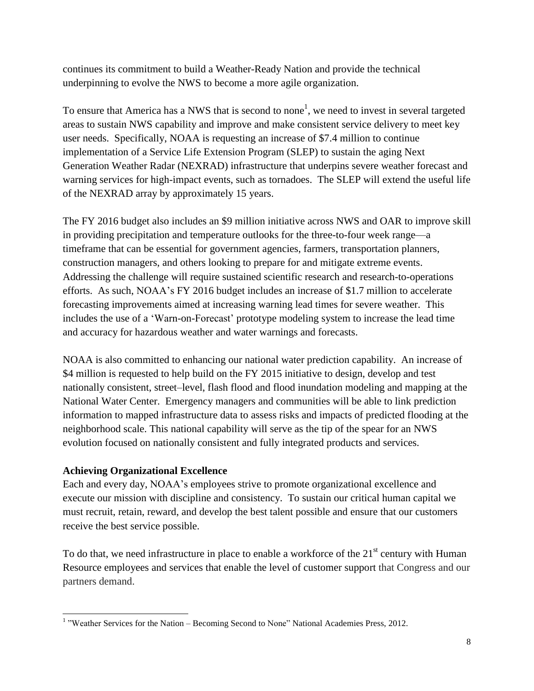continues its commitment to build a Weather-Ready Nation and provide the technical underpinning to evolve the NWS to become a more agile organization.

To ensure that America has a NWS that is second to none<sup>1</sup>, we need to invest in several targeted areas to sustain NWS capability and improve and make consistent service delivery to meet key user needs. Specifically, NOAA is requesting an increase of \$7.4 million to continue implementation of a Service Life Extension Program (SLEP) to sustain the aging Next Generation Weather Radar (NEXRAD) infrastructure that underpins severe weather forecast and warning services for high-impact events, such as tornadoes. The SLEP will extend the useful life of the NEXRAD array by approximately 15 years.

The FY 2016 budget also includes an \$9 million initiative across NWS and OAR to improve skill in providing precipitation and temperature outlooks for the three-to-four week range—a timeframe that can be essential for government agencies, farmers, transportation planners, construction managers, and others looking to prepare for and mitigate extreme events. Addressing the challenge will require sustained scientific research and research-to-operations efforts. As such, NOAA's FY 2016 budget includes an increase of \$1.7 million to accelerate forecasting improvements aimed at increasing warning lead times for severe weather. This includes the use of a 'Warn-on-Forecast' prototype modeling system to increase the lead time and accuracy for hazardous weather and water warnings and forecasts.

NOAA is also committed to enhancing our national water prediction capability. An increase of \$4 million is requested to help build on the FY 2015 initiative to design, develop and test nationally consistent, street–level, flash flood and flood inundation modeling and mapping at the National Water Center. Emergency managers and communities will be able to link prediction information to mapped infrastructure data to assess risks and impacts of predicted flooding at the neighborhood scale. This national capability will serve as the tip of the spear for an NWS evolution focused on nationally consistent and fully integrated products and services.

#### **Achieving Organizational Excellence**

l

Each and every day, NOAA's employees strive to promote organizational excellence and execute our mission with discipline and consistency. To sustain our critical human capital we must recruit, retain, reward, and develop the best talent possible and ensure that our customers receive the best service possible.

To do that, we need infrastructure in place to enable a workforce of the  $21<sup>st</sup>$  century with Human Resource employees and services that enable the level of customer support that Congress and our partners demand.

<sup>&</sup>lt;sup>1</sup> "Weather Services for the Nation – Becoming Second to None" National Academies Press, 2012.